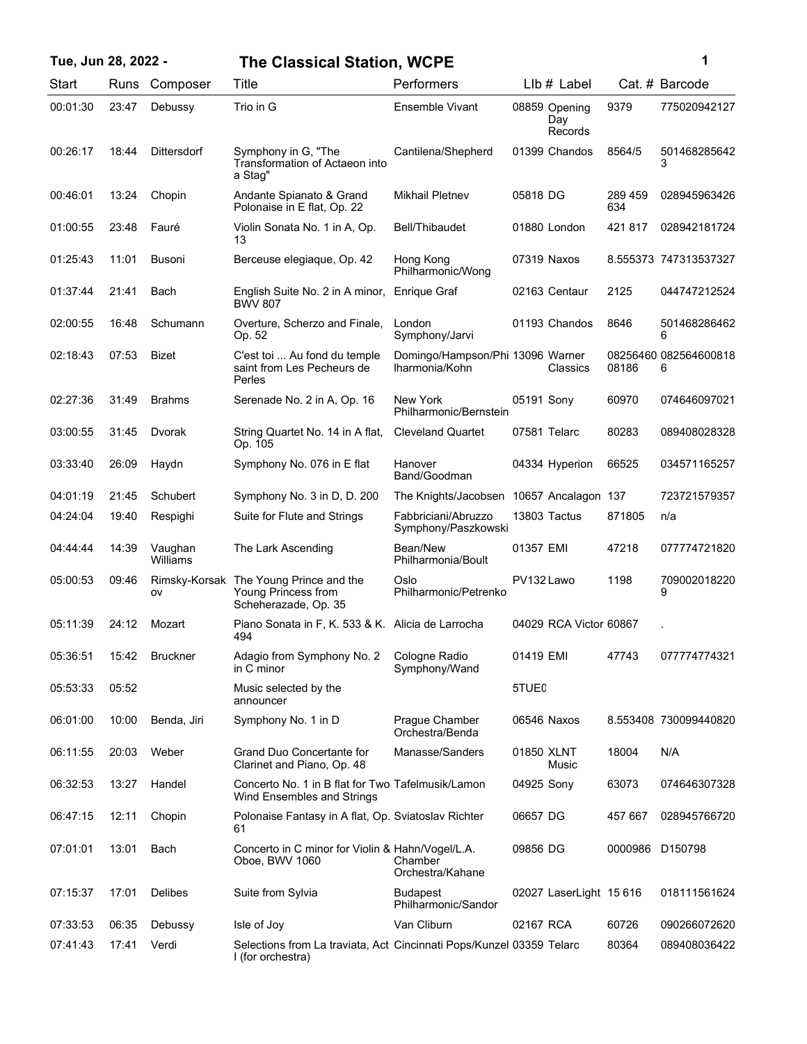| Tue, Jun 28, 2022 - |       |                     | <b>The Classical Station, WCPE</b>                                                        |                                                    |                   |                                 |                | 1                          |
|---------------------|-------|---------------------|-------------------------------------------------------------------------------------------|----------------------------------------------------|-------------------|---------------------------------|----------------|----------------------------|
| Start               | Runs  | Composer            | Title                                                                                     | Performers                                         |                   | LIb # Label                     |                | Cat. # Barcode             |
| 00:01:30            | 23:47 | Debussy             | Trio in G                                                                                 | Ensemble Vivant                                    |                   | 08859 Opening<br>Day<br>Records | 9379           | 775020942127               |
| 00:26:17            | 18:44 | <b>Dittersdorf</b>  | Symphony in G, "The<br>Transformation of Actaeon into<br>a Stag"                          | Cantilena/Shepherd                                 |                   | 01399 Chandos                   | 8564/5         | 501468285642<br>3          |
| 00:46:01            | 13:24 | Chopin              | Andante Spianato & Grand<br>Polonaise in E flat, Op. 22                                   | <b>Mikhail Pletnev</b>                             | 05818 DG          |                                 | 289 459<br>634 | 028945963426               |
| 01:00:55            | 23:48 | Fauré               | Violin Sonata No. 1 in A, Op.<br>13                                                       | Bell/Thibaudet                                     |                   | 01880 London                    | 421817         | 028942181724               |
| 01:25:43            | 11:01 | <b>Busoni</b>       | Berceuse elegiaque, Op. 42                                                                | Hong Kong<br>Philharmonic/Wong                     |                   | 07319 Naxos                     |                | 8.555373 747313537327      |
| 01:37:44            | 21:41 | Bach                | English Suite No. 2 in A minor,<br><b>BWV 807</b>                                         | Enrique Graf                                       |                   | 02163 Centaur                   | 2125           | 044747212524               |
| 02:00:55            | 16:48 | Schumann            | Overture, Scherzo and Finale,<br>Op. 52                                                   | London<br>Symphony/Jarvi                           |                   | 01193 Chandos                   | 8646           | 501468286462<br>6          |
| 02:18:43            | 07:53 | <b>Bizet</b>        | C'est toi  Au fond du temple<br>saint from Les Pecheurs de<br>Perles                      | Domingo/Hampson/Phi 13096 Warner<br>Iharmonia/Kohn |                   | Classics                        | 08186          | 08256460 082564600818<br>6 |
| 02:27:36            | 31:49 | <b>Brahms</b>       | Serenade No. 2 in A, Op. 16                                                               | New York<br>Philharmonic/Bernstein                 | 05191 Sony        |                                 | 60970          | 074646097021               |
| 03:00:55            | 31:45 | Dvorak              | String Quartet No. 14 in A flat,<br>Op. 105                                               | <b>Cleveland Quartet</b>                           |                   | 07581 Telarc                    | 80283          | 089408028328               |
| 03:33:40            | 26:09 | Haydn               | Symphony No. 076 in E flat                                                                | Hanover<br>Band/Goodman                            |                   | 04334 Hyperion                  | 66525          | 034571165257               |
| 04:01:19            | 21:45 | Schubert            | Symphony No. 3 in D, D. 200                                                               | The Knights/Jacobsen 10657 Ancalagon 137           |                   |                                 |                | 723721579357               |
| 04:24:04            | 19:40 | Respighi            | Suite for Flute and Strings                                                               | Fabbriciani/Abruzzo<br>Symphony/Paszkowski         |                   | 13803 Tactus                    | 871805         | n/a                        |
| 04:44:44            | 14:39 | Vaughan<br>Williams | The Lark Ascending                                                                        | Bean/New<br>Philharmonia/Boult                     | 01357 EMI         |                                 | 47218          | 077774721820               |
| 05:00:53            | 09:46 | ov                  | Rimsky-Korsak The Young Prince and the<br>Young Princess from<br>Scheherazade, Op. 35     | Oslo<br>Philharmonic/Petrenko                      | PV132 Lawo        |                                 | 1198           | 709002018220<br>9          |
| 05:11:39            | 24:12 | Mozart              | Piano Sonata in F, K. 533 & K. Alicia de Larrocha<br>494                                  |                                                    |                   | 04029 RCA Victor 60867          |                |                            |
| 05:36:51            | 15:42 | <b>Bruckner</b>     | Adagio from Symphony No. 2<br>in C minor                                                  | Cologne Radio<br>Symphony/Wand                     | 01419 EMI         |                                 | 47743          | 077774774321               |
| 05:53:33            | 05:52 |                     | Music selected by the<br>announcer                                                        |                                                    | 5TUE <sub>0</sub> |                                 |                |                            |
| 06:01:00            | 10:00 | Benda, Jiri         | Symphony No. 1 in D                                                                       | Praque Chamber<br>Orchestra/Benda                  |                   | 06546 Naxos                     |                | 8.553408 730099440820      |
| 06:11:55            | 20:03 | Weber               | <b>Grand Duo Concertante for</b><br>Clarinet and Piano, Op. 48                            | Manasse/Sanders                                    | 01850 XLNT        | Music                           | 18004          | N/A                        |
| 06:32:53            | 13:27 | Handel              | Concerto No. 1 in B flat for Two Tafelmusik/Lamon<br>Wind Ensembles and Strings           |                                                    | 04925 Sony        |                                 | 63073          | 074646307328               |
| 06:47:15            | 12:11 | Chopin              | Polonaise Fantasy in A flat, Op. Sviatoslav Richter<br>61                                 |                                                    | 06657 DG          |                                 | 457 667        | 028945766720               |
| 07:01:01            | 13:01 | Bach                | Concerto in C minor for Violin & Hahn/Vogel/L.A.<br>Oboe, BWV 1060                        | Chamber<br>Orchestra/Kahane                        | 09856 DG          |                                 |                | 0000986 D150798            |
| 07:15:37            | 17:01 | Delibes             | Suite from Sylvia                                                                         | <b>Budapest</b><br>Philharmonic/Sandor             |                   | 02027 LaserLight 15 616         |                | 018111561624               |
| 07:33:53            | 06:35 | Debussy             | Isle of Joy                                                                               | Van Cliburn                                        | 02167 RCA         |                                 | 60726          | 090266072620               |
| 07:41:43            | 17:41 | Verdi               | Selections from La traviata, Act Cincinnati Pops/Kunzel 03359 Telarc<br>I (for orchestra) |                                                    |                   |                                 | 80364          | 089408036422               |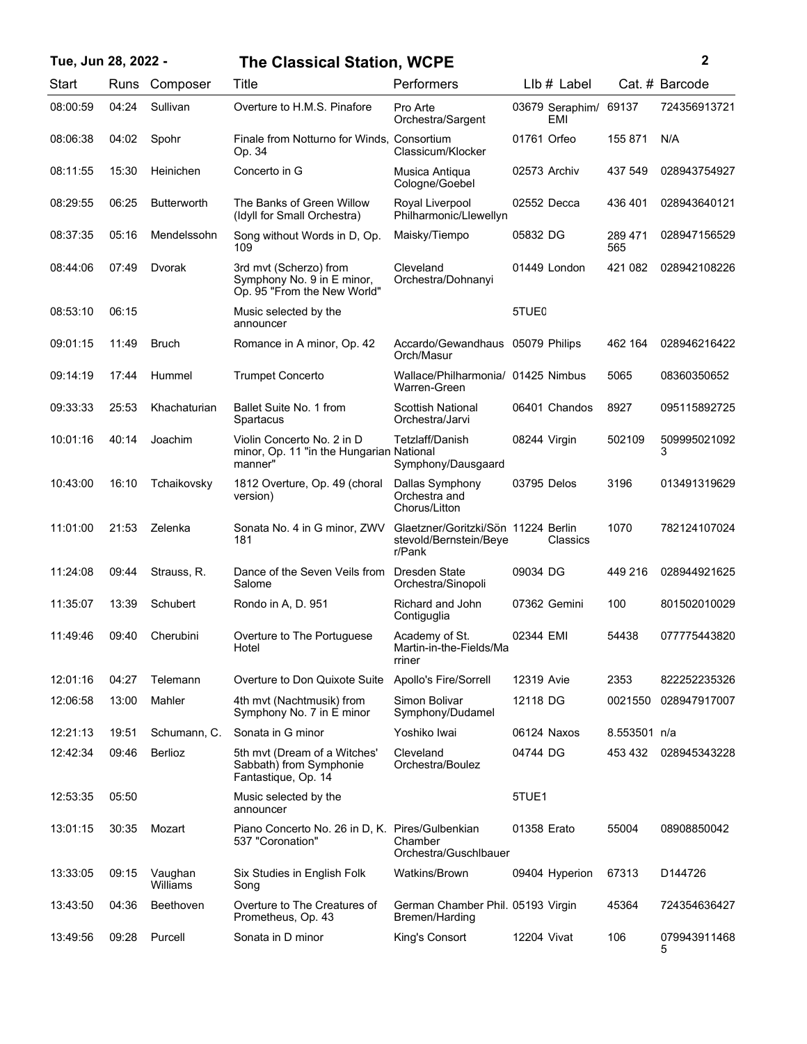| Tue, Jun 28, 2022 - |       |                     | <b>The Classical Station, WCPE</b>                                                  |                                                                         |                        |                | 2                 |
|---------------------|-------|---------------------|-------------------------------------------------------------------------------------|-------------------------------------------------------------------------|------------------------|----------------|-------------------|
| Start               |       | Runs Composer       | Title                                                                               | Performers                                                              | $Llb#$ Label           |                | Cat. # Barcode    |
| 08:00:59            | 04:24 | Sullivan            | Overture to H.M.S. Pinafore                                                         | Pro Arte<br>Orchestra/Sargent                                           | 03679 Seraphim/<br>EMI | 69137          | 724356913721      |
| 08:06:38            | 04:02 | Spohr               | Finale from Notturno for Winds, Consortium<br>Op. 34                                | Classicum/Klocker                                                       | 01761 Orfeo            | 155 871        | N/A               |
| 08:11:55            | 15:30 | Heinichen           | Concerto in G                                                                       | Musica Antiqua<br>Cologne/Goebel                                        | 02573 Archiv           | 437 549        | 028943754927      |
| 08:29:55            | 06:25 | <b>Butterworth</b>  | The Banks of Green Willow<br>(Idyll for Small Orchestra)                            | Royal Liverpool<br>Philharmonic/Llewellyn                               | 02552 Decca            | 436 401        | 028943640121      |
| 08:37:35            | 05:16 | Mendelssohn         | Song without Words in D, Op.<br>109                                                 | Maisky/Tiempo                                                           | 05832 DG               | 289 471<br>565 | 028947156529      |
| 08:44:06            | 07:49 | Dvorak              | 3rd mvt (Scherzo) from<br>Symphony No. 9 in E minor,<br>Op. 95 "From the New World" | Cleveland<br>Orchestra/Dohnanyi                                         | 01449 London           | 421 082        | 028942108226      |
| 08:53:10            | 06:15 |                     | Music selected by the<br>announcer                                                  |                                                                         | 5TUE <sub>0</sub>      |                |                   |
| 09:01:15            | 11:49 | <b>Bruch</b>        | Romance in A minor, Op. 42                                                          | Accardo/Gewandhaus 05079 Philips<br>Orch/Masur                          |                        | 462 164        | 028946216422      |
| 09:14:19            | 17:44 | Hummel              | <b>Trumpet Concerto</b>                                                             | Wallace/Philharmonia/ 01425 Nimbus<br>Warren-Green                      |                        | 5065           | 08360350652       |
| 09:33:33            | 25:53 | Khachaturian        | Ballet Suite No. 1 from<br>Spartacus                                                | <b>Scottish National</b><br>Orchestra/Jarvi                             | 06401 Chandos          | 8927           | 095115892725      |
| 10:01:16            | 40:14 | Joachim             | Violin Concerto No. 2 in D<br>minor, Op. 11 "in the Hungarian National<br>manner"   | Tetzlaff/Danish<br>Symphony/Dausgaard                                   | 08244 Virgin           | 502109         | 509995021092<br>3 |
| 10:43:00            | 16:10 | Tchaikovsky         | 1812 Overture, Op. 49 (choral<br>version)                                           | Dallas Symphony<br>Orchestra and<br>Chorus/Litton                       | 03795 Delos            | 3196           | 013491319629      |
| 11:01:00            | 21:53 | Zelenka             | Sonata No. 4 in G minor, ZWV<br>181                                                 | Glaetzner/Goritzki/Sön 11224 Berlin<br>stevold/Bernstein/Beye<br>r/Pank | Classics               | 1070           | 782124107024      |
| 11:24:08            | 09:44 | Strauss, R.         | Dance of the Seven Veils from<br>Salome                                             | Dresden State<br>Orchestra/Sinopoli                                     | 09034 DG               | 449 216        | 028944921625      |
| 11:35:07            | 13:39 | Schubert            | Rondo in A, D. 951                                                                  | Richard and John<br>Contiguglia                                         | 07362 Gemini           | 100            | 801502010029      |
| 11:49:46            | 09:40 | Cherubini           | Overture to The Portuguese<br>Hotel                                                 | Academy of St.<br>Martin-in-the-Fields/Ma<br>rriner                     | 02344 EMI              | 54438          | 077775443820      |
| 12:01:16            | 04:27 | Telemann            | Overture to Don Quixote Suite                                                       | Apollo's Fire/Sorrell                                                   | 12319 Avie             | 2353           | 822252235326      |
| 12:06:58            | 13:00 | Mahler              | 4th mvt (Nachtmusik) from<br>Symphony No. 7 in E minor                              | Simon Bolivar<br>Symphony/Dudamel                                       | 12118 DG               | 0021550        | 028947917007      |
| 12:21:13            | 19:51 | Schumann, C.        | Sonata in G minor                                                                   | Yoshiko Iwai                                                            | 06124 Naxos            | 8.553501 n/a   |                   |
| 12:42:34            | 09:46 | Berlioz             | 5th mvt (Dream of a Witches'<br>Sabbath) from Symphonie<br>Fantastique, Op. 14      | Cleveland<br>Orchestra/Boulez                                           | 04744 DG               | 453 432        | 028945343228      |
| 12:53:35            | 05:50 |                     | Music selected by the<br>announcer                                                  |                                                                         | 5TUE1                  |                |                   |
| 13:01:15            | 30:35 | Mozart              | Piano Concerto No. 26 in D, K. Pires/Gulbenkian<br>537 "Coronation"                 | Chamber<br>Orchestra/Guschlbauer                                        | 01358 Erato            | 55004          | 08908850042       |
| 13:33:05            | 09:15 | Vaughan<br>Williams | Six Studies in English Folk<br>Song                                                 | Watkins/Brown                                                           | 09404 Hyperion         | 67313          | D144726           |
| 13:43:50            | 04:36 | Beethoven           | Overture to The Creatures of<br>Prometheus, Op. 43                                  | German Chamber Phil. 05193 Virgin<br>Bremen/Harding                     |                        | 45364          | 724354636427      |
| 13:49:56            | 09:28 | Purcell             | Sonata in D minor                                                                   | King's Consort                                                          | 12204 Vivat            | 106            | 079943911468<br>5 |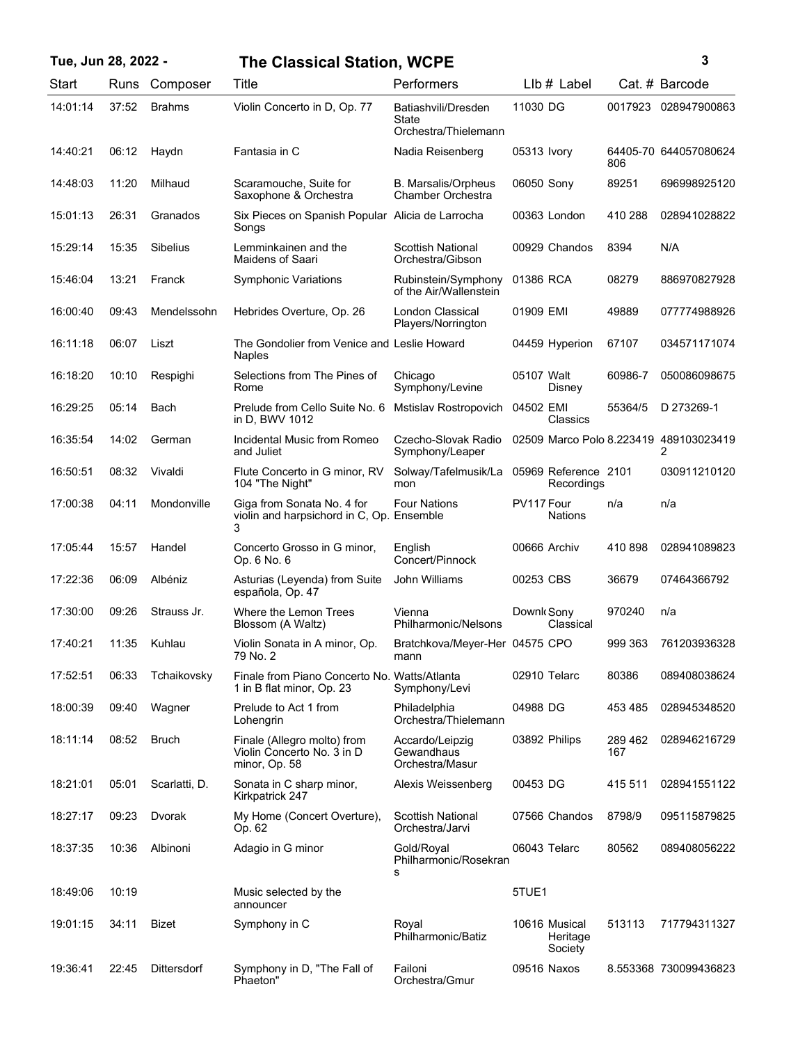## **Tue, Jun 28, 2022 - 3 The Classical Station, WCPE**

| ٦            |
|--------------|
| ٦            |
| I<br>I       |
| I<br>×<br>۰. |

| Start    | Runs  | Composer        | Title                                                                        | Performers                                           | LIb # Label                          |                | Cat. # Barcode        |
|----------|-------|-----------------|------------------------------------------------------------------------------|------------------------------------------------------|--------------------------------------|----------------|-----------------------|
| 14:01:14 | 37:52 | <b>Brahms</b>   | Violin Concerto in D, Op. 77                                                 | Batiashvili/Dresden<br>State<br>Orchestra/Thielemann | 11030 DG                             | 0017923        | 028947900863          |
| 14:40:21 | 06:12 | Haydn           | Fantasia in C                                                                | Nadia Reisenberg                                     | 05313 Ivory                          | 806            | 64405-70 644057080624 |
| 14:48:03 | 11:20 | Milhaud         | Scaramouche, Suite for<br>Saxophone & Orchestra                              | <b>B.</b> Marsalis/Orpheus<br>Chamber Orchestra      | 06050 Sony                           | 89251          | 696998925120          |
| 15:01:13 | 26:31 | Granados        | Six Pieces on Spanish Popular Alicia de Larrocha<br>Songs                    |                                                      | 00363 London                         | 410 288        | 028941028822          |
| 15:29:14 | 15:35 | <b>Sibelius</b> | Lemminkainen and the<br>Maidens of Saari                                     | <b>Scottish National</b><br>Orchestra/Gibson         | 00929 Chandos                        | 8394           | N/A                   |
| 15:46:04 | 13:21 | Franck          | <b>Symphonic Variations</b>                                                  | Rubinstein/Symphony<br>of the Air/Wallenstein        | 01386 RCA                            | 08279          | 886970827928          |
| 16:00:40 | 09:43 | Mendelssohn     | Hebrides Overture, Op. 26                                                    | London Classical<br>Players/Norrington               | 01909 EMI                            | 49889          | 077774988926          |
| 16:11:18 | 06:07 | Liszt           | The Gondolier from Venice and Leslie Howard<br>Naples                        |                                                      | 04459 Hyperion                       | 67107          | 034571171074          |
| 16:18:20 | 10:10 | Respighi        | Selections from The Pines of<br>Rome                                         | Chicago<br>Symphony/Levine                           | 05107 Walt<br>Disney                 | 60986-7        | 050086098675          |
| 16:29:25 | 05:14 | Bach            | Prelude from Cello Suite No. 6<br>in D, BWV 1012                             | Mstislav Rostropovich                                | 04502 EMI<br>Classics                | 55364/5        | D 273269-1            |
| 16:35:54 | 14:02 | German          | Incidental Music from Romeo<br>and Juliet                                    | Czecho-Slovak Radio<br>Symphony/Leaper               | 02509 Marco Polo 8.223419            |                | 489103023419<br>2     |
| 16:50:51 | 08:32 | Vivaldi         | Flute Concerto in G minor, RV<br>104 "The Night"                             | Solway/Tafelmusik/La<br>mon                          | 05969 Reference 2101<br>Recordings   |                | 030911210120          |
| 17:00:38 | 04:11 | Mondonville     | Giga from Sonata No. 4 for<br>violin and harpsichord in C, Op. Ensemble<br>3 | <b>Four Nations</b>                                  | PV117 Four<br><b>Nations</b>         | n/a            | n/a                   |
| 17:05:44 | 15:57 | Handel          | Concerto Grosso in G minor,<br>Op. 6 No. 6                                   | English<br>Concert/Pinnock                           | 00666 Archiv                         | 410898         | 028941089823          |
| 17:22:36 | 06:09 | Albéniz         | Asturias (Leyenda) from Suite<br>española, Op. 47                            | John Williams                                        | 00253 CBS                            | 36679          | 07464366792           |
| 17:30:00 | 09:26 | Strauss Jr.     | Where the Lemon Trees<br>Blossom (A Waltz)                                   | Vienna<br>Philharmonic/Nelsons                       | Downk Sony<br>Classical              | 970240         | n/a                   |
| 17:40:21 | 11:35 | Kuhlau          | Violin Sonata in A minor, Op.<br>79 No. 2                                    | Bratchkova/Meyer-Her 04575 CPO<br>mann               |                                      | 999 363        | 761203936328          |
| 17:52:51 | 06:33 | Tchaikovsky     | Finale from Piano Concerto No. Watts/Atlanta<br>1 in B flat minor, Op. 23    | Symphony/Levi                                        | 02910 Telarc                         | 80386          | 089408038624          |
| 18:00:39 | 09:40 | Wagner          | Prelude to Act 1 from<br>Lohengrin                                           | Philadelphia<br>Orchestra/Thielemann                 | 04988 DG                             | 453 485        | 028945348520          |
| 18:11:14 | 08:52 | <b>Bruch</b>    | Finale (Allegro molto) from<br>Violin Concerto No. 3 in D<br>minor, Op. 58   | Accardo/Leipzig<br>Gewandhaus<br>Orchestra/Masur     | 03892 Philips                        | 289 462<br>167 | 028946216729          |
| 18:21:01 | 05:01 | Scarlatti, D.   | Sonata in C sharp minor,<br>Kirkpatrick 247                                  | Alexis Weissenberg                                   | 00453 DG                             | 415 511        | 028941551122          |
| 18:27:17 | 09:23 | Dvorak          | My Home (Concert Overture),<br>Op. 62                                        | Scottish National<br>Orchestra/Jarvi                 | 07566 Chandos                        | 8798/9         | 095115879825          |
| 18:37:35 | 10:36 | Albinoni        | Adagio in G minor                                                            | Gold/Royal<br>Philharmonic/Rosekran<br>s             | 06043 Telarc                         | 80562          | 089408056222          |
| 18:49:06 | 10:19 |                 | Music selected by the<br>announcer                                           |                                                      | 5TUE1                                |                |                       |
| 19:01:15 | 34:11 | Bizet           | Symphony in C                                                                | Royal<br>Philharmonic/Batiz                          | 10616 Musical<br>Heritage<br>Society | 513113         | 717794311327          |
| 19:36:41 | 22:45 | Dittersdorf     | Symphony in D, "The Fall of<br>Phaeton"                                      | Failoni<br>Orchestra/Gmur                            | 09516 Naxos                          |                | 8.553368 730099436823 |